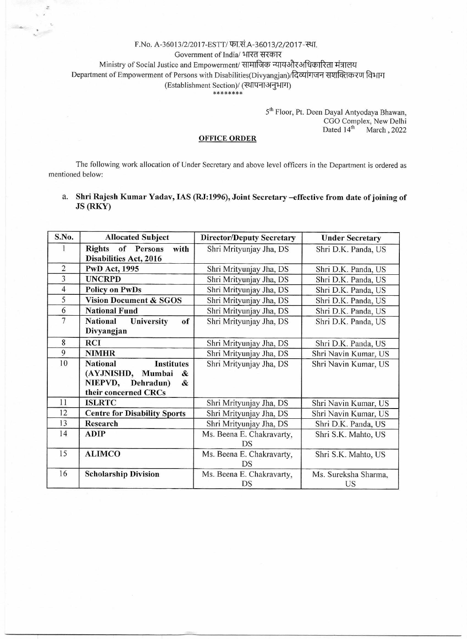## F.No. A-36013/2/2017-ESTT/ फा.सं.A-36013/2/2017-स्था.

Ŀ.

Government of India/ भारत सरकार

Ministry of Social Justice and Empowerment/ सामाजिक न्यायऔरअधिकारिता मंत्रालय

Department of Empowerment of Persons with Disabilities(Divyangjan)/दिव्यांगजन सशक्तिकरण विभाग

(Establishment Section)/ (स्थापनाअनुभाग)

\*\*\*\*\*\*\*\*

5<sup>th</sup> Floor, Pt. Deen Dayal Antyodaya Bhawan, CGO Complex, New Delhi<br>Dated 14<sup>th</sup> March, 2022 March, 2022

## **OFFICE ORDER**

The following work allocation of Under Secretary and above level officers in the Department is ordered as mentioned below:

a. Shri Rajesh Kumar Yadav, IAS (RJ:1996), Joint Secretary —effective from date of joining of JS (RKY)

| S.No.          | <b>Allocated Subject</b>                                                                                            | <b>Director/Deputy Secretary</b> | <b>Under Secretary</b>     |
|----------------|---------------------------------------------------------------------------------------------------------------------|----------------------------------|----------------------------|
|                | <b>Rights</b><br>of Persons<br>with<br><b>Disabilities Act, 2016</b>                                                | Shri Mrityunjay Jha, DS          | Shri D.K. Panda, US        |
| $\overline{c}$ | <b>PwD Act, 1995</b>                                                                                                | Shri Mrityunjay Jha, DS          | Shri D.K. Panda, US        |
| 3              | <b>UNCRPD</b>                                                                                                       | Shri Mrityunjay Jha, DS          | Shri D.K. Panda, US        |
| $\overline{4}$ | <b>Policy on PwDs</b>                                                                                               | Shri Mrityunjay Jha, DS          | Shri D.K. Panda, US        |
| 5              | <b>Vision Document &amp; SGOS</b>                                                                                   | Shri Mrityunjay Jha, DS          | Shri D.K. Panda, US        |
| 6              | <b>National Fund</b>                                                                                                | Shri Mrityunjay Jha, DS          | Shri D.K. Panda, US        |
| $\overline{7}$ | of<br><b>National</b><br>University<br>Divyangjan                                                                   | Shri Mrityunjay Jha, DS          | Shri D.K. Panda, US        |
| 8              | <b>RCI</b>                                                                                                          | Shri Mrityunjay Jha, DS          | Shri D.K. Panda, US        |
| 9              | <b>NIMHR</b>                                                                                                        | Shri Mrityunjay Jha, DS          | Shri Navin Kumar, US       |
| 10             | <b>National</b><br><b>Institutes</b><br>(AYJNISHD, Mumbai<br>&<br>NIEPVD,<br>Dehradun)<br>&<br>their concerned CRCs | Shri Mrityunjay Jha, DS          | Shri Navin Kumar, US       |
| 11             | <b>ISLRTC</b>                                                                                                       | Shri Mrityunjay Jha, DS          | Shri Navin Kumar, US       |
| 12             | <b>Centre for Disability Sports</b>                                                                                 | Shri Mrityunjay Jha, DS          | Shri Navin Kumar, US       |
| 13             | <b>Research</b>                                                                                                     | Shri Mrityunjay Jha, DS          | Shri D.K. Panda, US        |
| 14             | <b>ADIP</b>                                                                                                         | Ms. Beena E. Chakravarty,<br>DS  | Shri S.K. Mahto, US        |
| 15             | <b>ALIMCO</b>                                                                                                       | Ms. Beena E. Chakravarty,<br>DS  | Shri S.K. Mahto, US        |
| 16             | <b>Scholarship Division</b>                                                                                         | Ms. Beena E. Chakravarty,<br>DS  | Ms. Sureksha Sharma,<br>US |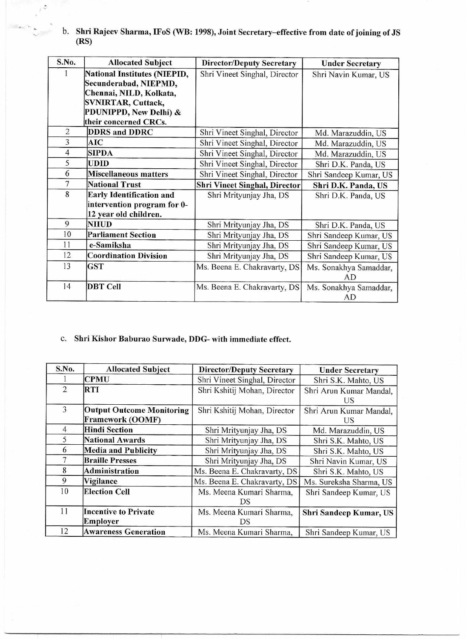b. **Shri Rajeev Sharma, IFoS (WB: 1998), Joint Secretary—effective from date of** joining of JS **(RS)** 

 $\sim$ 

| S.No.          | <b>Allocated Subject</b>            | <b>Director/Deputy Secretary</b>     | <b>Under Secretary</b> |
|----------------|-------------------------------------|--------------------------------------|------------------------|
|                | <b>National Institutes (NIEPID,</b> | Shri Vineet Singhal, Director        | Shri Navin Kumar, US   |
|                | Secunderabad, NIEPMD,               |                                      |                        |
|                | Chennai, NILD, Kolkata,             |                                      |                        |
|                | <b>SVNIRTAR, Cuttack,</b>           |                                      |                        |
|                | PDUNIPPD, New Delhi) &              |                                      |                        |
|                | their concerned CRCs.               |                                      |                        |
| $\overline{2}$ | <b>DDRS</b> and <b>DDRC</b>         | Shri Vineet Singhal, Director        | Md. Marazuddin, US     |
| 3              | <b>AIC</b>                          | Shri Vineet Singhal, Director        | Md. Marazuddin, US     |
| $\overline{4}$ | <b>SIPDA</b>                        | Shri Vineet Singhal, Director        | Md. Marazuddin, US     |
| 5              | <b>UDID</b>                         | Shri Vineet Singhal, Director        | Shri D.K. Panda, US    |
| 6              | Miscellaneous matters               | Shri Vineet Singhal, Director        | Shri Sandeep Kumar, US |
| $\overline{7}$ | <b>National Trust</b>               | <b>Shri Vineet Singhal, Director</b> | Shri D.K. Panda, US    |
| 8              | <b>Early Identification and</b>     | Shri Mrityunjay Jha, DS              | Shri D.K. Panda, US    |
|                | intervention program for 0-         |                                      |                        |
|                | 12 year old children.               |                                      |                        |
| 9              | <b>NIIUD</b>                        | Shri Mrityunjay Jha, DS              | Shri D.K. Panda, US    |
| 10             | <b>Parliament Section</b>           | Shri Mrityunjay Jha, DS              | Shri Sandeep Kumar, US |
| 11             | e-Samiksha                          | Shri Mrityunjay Jha, DS              | Shri Sandeep Kumar, US |
| 12             | <b>Coordination Division</b>        | Shri Mrityunjay Jha, DS              | Shri Sandeep Kumar, US |
| 13             | <b>GST</b>                          | Ms. Beena E. Chakravarty, DS         | Ms. Sonakhya Samaddar, |
|                |                                     |                                      | AD                     |
| 14             | <b>DBT</b> Cell                     | Ms. Beena E. Chakravarty, DS         | Ms. Sonakhya Samaddar, |
|                |                                     |                                      | AD                     |

## c. Shri Kishor Baburao Surwade, **DDG- with immediate** effect.

| S.No.          | <b>Allocated Subject</b>                                    | <b>Director/Deputy Secretary</b> | <b>Under Secretary</b>        |
|----------------|-------------------------------------------------------------|----------------------------------|-------------------------------|
|                | <b>CPMU</b>                                                 | Shri Vineet Singhal, Director    | Shri S.K. Mahto, US           |
| $\overline{2}$ | <b>RTI</b>                                                  | Shri Kshitij Mohan, Director     | Shri Arun Kumar Mandal,<br>US |
| 3              | <b>Output Outcome Monitoring</b><br><b>Framework (OOMF)</b> | Shri Kshitij Mohan, Director     | Shri Arun Kumar Mandal,<br>US |
| $\overline{4}$ | <b>Hindi Section</b>                                        | Shri Mrityunjay Jha, DS          | Md. Marazuddin, US            |
| 5              | <b>National Awards</b>                                      | Shri Mrityunjay Jha, DS          | Shri S.K. Mahto, US           |
| 6              | <b>Media and Publicity</b>                                  | Shri Mrityunjay Jha, DS          | Shri S.K. Mahto, US           |
| 7              | <b>Braille Presses</b>                                      | Shri Mrityunjay Jha, DS          | Shri Navin Kumar, US          |
| 8              | Administration                                              | Ms. Beena E. Chakravarty, DS     | Shri S.K. Mahto, US           |
| 9              | Vigilance                                                   | Ms. Beena E. Chakravarty, DS     | Ms. Sureksha Sharma, US       |
| 10             | <b>Election Cell</b>                                        | Ms. Meena Kumari Sharma,<br>DS   | Shri Sandeep Kumar, US        |
| 11             | <b>Incentive to Private</b><br>Employer                     | Ms. Meena Kumari Sharma,<br>DS   | Shri Sandeep Kumar, US        |
| 12             | <b>Awareness Generation</b>                                 | Ms. Meena Kumari Sharma,         | Shri Sandeep Kumar, US        |